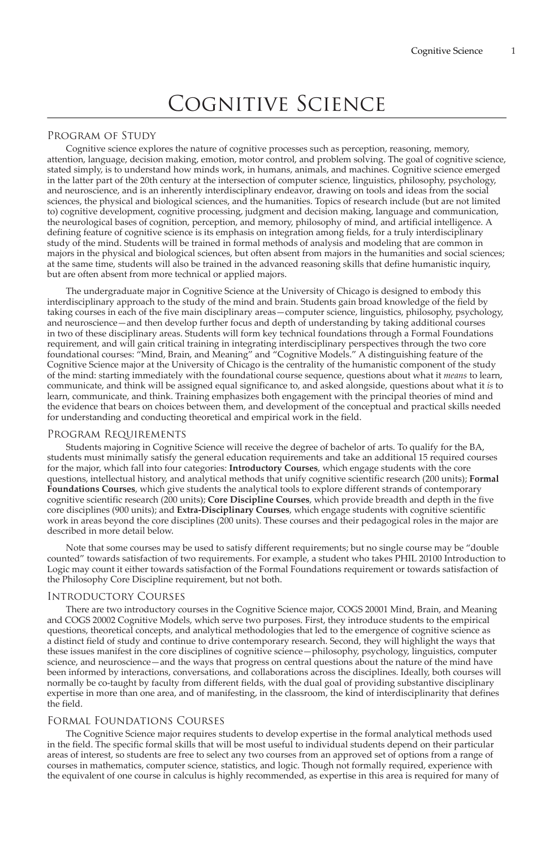# Cognitive Science

## Program of Study

Cognitive science explores the nature of cognitive processes such as perception, reasoning, memory, attention, language, decision making, emotion, motor control, and problem solving. The goal of cognitive science, stated simply, is to understand how minds work, in humans, animals, and machines. Cognitive science emerged in the latter part of the 20th century at the intersection of computer science, linguistics, philosophy, psychology, and neuroscience, and is an inherently interdisciplinary endeavor, drawing on tools and ideas from the social sciences, the physical and biological sciences, and the humanities. Topics of research include (but are not limited to) cognitive development, cognitive processing, judgment and decision making, language and communication, the neurological bases of cognition, perception, and memory, philosophy of mind, and artificial intelligence. A defining feature of cognitive science is its emphasis on integration among fields, for a truly interdisciplinary study of the mind. Students will be trained in formal methods of analysis and modeling that are common in majors in the physical and biological sciences, but often absent from majors in the humanities and social sciences; at the same time, students will also be trained in the advanced reasoning skills that define humanistic inquiry, but are often absent from more technical or applied majors.

The undergraduate major in Cognitive Science at the University of Chicago is designed to embody this interdisciplinary approach to the study of the mind and brain. Students gain broad knowledge of the field by taking courses in each of the five main disciplinary areas—computer science, linguistics, philosophy, psychology, and neuroscience—and then develop further focus and depth of understanding by taking additional courses in two of these disciplinary areas. Students will form key technical foundations through a Formal Foundations requirement, and will gain critical training in integrating interdisciplinary perspectives through the two core foundational courses: "Mind, Brain, and Meaning" and "Cognitive Models." A distinguishing feature of the Cognitive Science major at the University of Chicago is the centrality of the humanistic component of the study of the mind: starting immediately with the foundational course sequence, questions about what it *means* to learn, communicate, and think will be assigned equal significance to, and asked alongside, questions about what it *is* to learn, communicate, and think. Training emphasizes both engagement with the principal theories of mind and the evidence that bears on choices between them, and development of the conceptual and practical skills needed for understanding and conducting theoretical and empirical work in the field.

#### Program Requirements

Students majoring in Cognitive Science will receive the degree of bachelor of arts. To qualify for the BA, students must minimally satisfy the general education requirements and take an additional 15 required courses for the major, which fall into four categories: **Introductory Courses**, which engage students with the core questions, intellectual history, and analytical methods that unify cognitive scientific research (200 units); **Formal Foundations Courses**, which give students the analytical tools to explore different strands of contemporary cognitive scientific research (200 units); **Core Discipline Courses**, which provide breadth and depth in the five core disciplines (900 units); and **Extra-Disciplinary Courses**, which engage students with cognitive scientific work in areas beyond the core disciplines (200 units). These courses and their pedagogical roles in the major are described in more detail below.

Note that some courses may be used to satisfy different requirements; but no single course may be "double counted" towards satisfaction of two requirements. For example, a student who takes PHIL 20100 Introduction to Logic may count it either towards satisfaction of the Formal Foundations requirement or towards satisfaction of the Philosophy Core Discipline requirement, but not both.

## Introductory Courses

There are two introductory courses in the Cognitive Science major, COGS 20001 Mind, Brain, and Meaning and COGS 20002 Cognitive Models, which serve two purposes. First, they introduce students to the empirical questions, theoretical concepts, and analytical methodologies that led to the emergence of cognitive science as a distinct field of study and continue to drive contemporary research. Second, they will highlight the ways that these issues manifest in the core disciplines of cognitive science—philosophy, psychology, linguistics, computer science, and neuroscience—and the ways that progress on central questions about the nature of the mind have been informed by interactions, conversations, and collaborations across the disciplines. Ideally, both courses will normally be co-taught by faculty from different fields, with the dual goal of providing substantive disciplinary expertise in more than one area, and of manifesting, in the classroom, the kind of interdisciplinarity that defines the field.

#### Formal Foundations Courses

The Cognitive Science major requires students to develop expertise in the formal analytical methods used in the field. The specific formal skills that will be most useful to individual students depend on their particular areas of interest, so students are free to select any two courses from an approved set of options from a range of courses in mathematics, computer science, statistics, and logic. Though not formally required, experience with the equivalent of one course in calculus is highly recommended, as expertise in this area is required for many of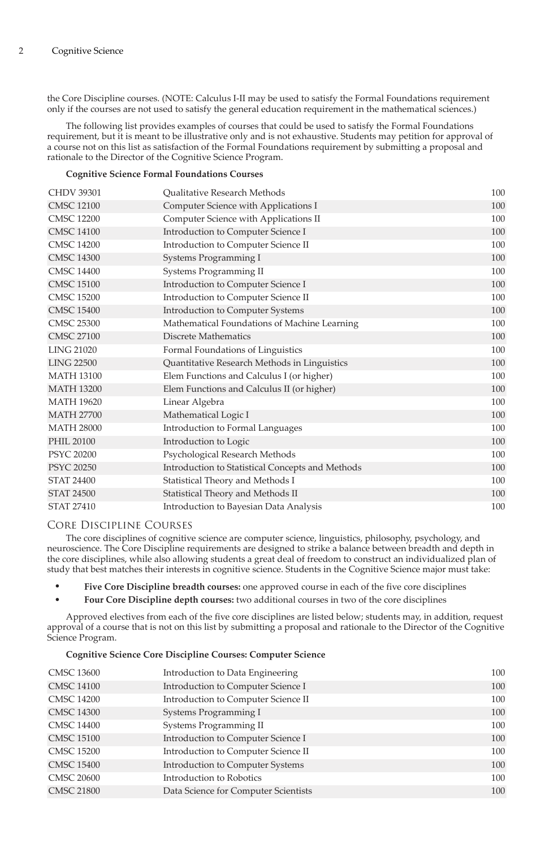the Core Discipline courses. (NOTE: Calculus I-II may be used to satisfy the Formal Foundations requirement only if the courses are not used to satisfy the general education requirement in the mathematical sciences.)

The following list provides examples of courses that could be used to satisfy the Formal Foundations requirement, but it is meant to be illustrative only and is not exhaustive. Students may petition for approval of a course not on this list as satisfaction of the Formal Foundations requirement by submitting a proposal and rationale to the Director of the Cognitive Science Program.

#### **Cognitive Science Formal Foundations Courses**

| <b>CHDV 39301</b> | <b>Oualitative Research Methods</b>              | 100 |
|-------------------|--------------------------------------------------|-----|
| <b>CMSC 12100</b> | Computer Science with Applications I             | 100 |
| <b>CMSC 12200</b> | Computer Science with Applications II            | 100 |
| <b>CMSC 14100</b> | Introduction to Computer Science I               | 100 |
| <b>CMSC 14200</b> | Introduction to Computer Science II              | 100 |
| <b>CMSC 14300</b> | Systems Programming I                            | 100 |
| <b>CMSC 14400</b> | Systems Programming II                           | 100 |
| <b>CMSC 15100</b> | Introduction to Computer Science I               | 100 |
| <b>CMSC 15200</b> | Introduction to Computer Science II              | 100 |
| <b>CMSC 15400</b> | Introduction to Computer Systems                 | 100 |
| <b>CMSC 25300</b> | Mathematical Foundations of Machine Learning     | 100 |
| <b>CMSC 27100</b> | Discrete Mathematics                             | 100 |
| <b>LING 21020</b> | Formal Foundations of Linguistics                | 100 |
| <b>LING 22500</b> | Quantitative Research Methods in Linguistics     | 100 |
| <b>MATH 13100</b> | Elem Functions and Calculus I (or higher)        | 100 |
| <b>MATH 13200</b> | Elem Functions and Calculus II (or higher)       | 100 |
| <b>MATH 19620</b> | Linear Algebra                                   | 100 |
| <b>MATH 27700</b> | Mathematical Logic I                             | 100 |
| <b>MATH 28000</b> | Introduction to Formal Languages                 | 100 |
| PHIL 20100        | Introduction to Logic                            | 100 |
| <b>PSYC 20200</b> | Psychological Research Methods                   | 100 |
| <b>PSYC 20250</b> | Introduction to Statistical Concepts and Methods | 100 |
| <b>STAT 24400</b> | Statistical Theory and Methods I                 | 100 |
| <b>STAT 24500</b> | Statistical Theory and Methods II                | 100 |
| <b>STAT 27410</b> | Introduction to Bayesian Data Analysis           | 100 |
|                   |                                                  |     |

## Core Discipline Courses

The core disciplines of cognitive science are computer science, linguistics, philosophy, psychology, and neuroscience. The Core Discipline requirements are designed to strike a balance between breadth and depth in the core disciplines, while also allowing students a great deal of freedom to construct an individualized plan of study that best matches their interests in cognitive science. Students in the Cognitive Science major must take:

- **Five Core Discipline breadth courses:** one approved course in each of the five core disciplines
- **Four Core Discipline depth courses:** two additional courses in two of the core disciplines

Approved electives from each of the five core disciplines are listed below; students may, in addition, request approval of a course that is not on this list by submitting a proposal and rationale to the Director of the Cognitive Science Program.

#### **Cognitive Science Core Discipline Courses: Computer Science**

| <b>CMSC 13600</b> | Introduction to Data Engineering     | 100 |
|-------------------|--------------------------------------|-----|
| <b>CMSC 14100</b> | Introduction to Computer Science I   | 100 |
| <b>CMSC 14200</b> | Introduction to Computer Science II  | 100 |
| <b>CMSC 14300</b> | Systems Programming I                | 100 |
| <b>CMSC 14400</b> | Systems Programming II               | 100 |
| <b>CMSC 15100</b> | Introduction to Computer Science I   | 100 |
| <b>CMSC 15200</b> | Introduction to Computer Science II  | 100 |
| <b>CMSC 15400</b> | Introduction to Computer Systems     | 100 |
| <b>CMSC 20600</b> | Introduction to Robotics             | 100 |
| <b>CMSC 21800</b> | Data Science for Computer Scientists | 100 |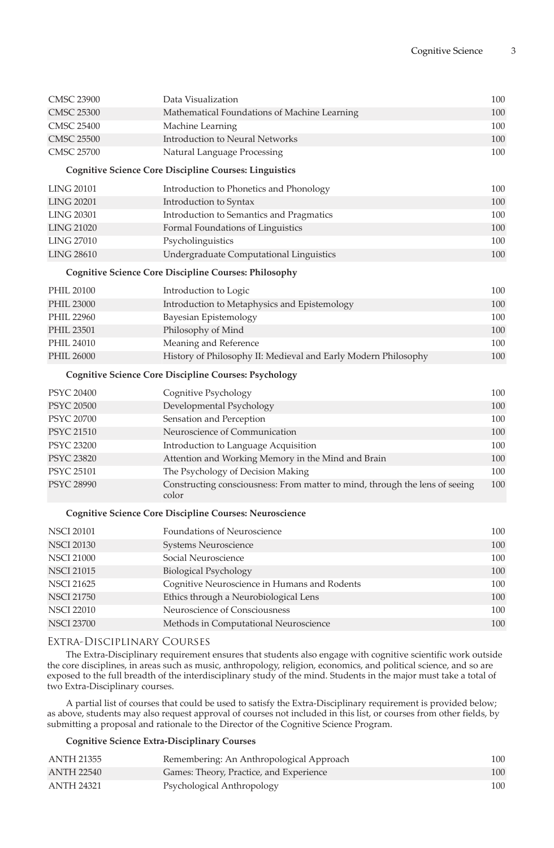|                   | Data Visualization                                                                   | 100 |
|-------------------|--------------------------------------------------------------------------------------|-----|
| <b>CMSC 23900</b> |                                                                                      |     |
| <b>CMSC 25300</b> | Mathematical Foundations of Machine Learning                                         | 100 |
| <b>CMSC 25400</b> | Machine Learning                                                                     | 100 |
| <b>CMSC 25500</b> | <b>Introduction to Neural Networks</b>                                               | 100 |
| <b>CMSC 25700</b> | Natural Language Processing                                                          | 100 |
|                   | <b>Cognitive Science Core Discipline Courses: Linguistics</b>                        |     |
| <b>LING 20101</b> | Introduction to Phonetics and Phonology                                              | 100 |
| <b>LING 20201</b> | Introduction to Syntax                                                               | 100 |
| <b>LING 20301</b> | Introduction to Semantics and Pragmatics                                             | 100 |
| <b>LING 21020</b> | Formal Foundations of Linguistics                                                    | 100 |
| <b>LING 27010</b> | Psycholinguistics                                                                    | 100 |
| <b>LING 28610</b> | Undergraduate Computational Linguistics                                              | 100 |
|                   | <b>Cognitive Science Core Discipline Courses: Philosophy</b>                         |     |
| <b>PHIL 20100</b> | Introduction to Logic                                                                | 100 |
| <b>PHIL 23000</b> | Introduction to Metaphysics and Epistemology                                         | 100 |
| PHIL 22960        | Bayesian Epistemology                                                                | 100 |
| <b>PHIL 23501</b> | Philosophy of Mind                                                                   | 100 |
| PHIL 24010        | Meaning and Reference                                                                | 100 |
| <b>PHIL 26000</b> | History of Philosophy II: Medieval and Early Modern Philosophy                       | 100 |
|                   | <b>Cognitive Science Core Discipline Courses: Psychology</b>                         |     |
| <b>PSYC 20400</b> | Cognitive Psychology                                                                 | 100 |
| <b>PSYC 20500</b> | Developmental Psychology                                                             | 100 |
| <b>PSYC 20700</b> | Sensation and Perception                                                             | 100 |
| <b>PSYC 21510</b> | Neuroscience of Communication                                                        | 100 |
| <b>PSYC 23200</b> | Introduction to Language Acquisition                                                 | 100 |
| <b>PSYC 23820</b> | Attention and Working Memory in the Mind and Brain                                   | 100 |
| <b>PSYC 25101</b> | The Psychology of Decision Making                                                    | 100 |
| <b>PSYC 28990</b> | Constructing consciousness: From matter to mind, through the lens of seeing<br>color | 100 |
|                   | <b>Cognitive Science Core Discipline Courses: Neuroscience</b>                       |     |
| <b>NSCI 20101</b> | Foundations of Neuroscience                                                          | 100 |
| <b>NSCI 20130</b> | Systems Neuroscience                                                                 | 100 |
| <b>NSCI 21000</b> | Social Neuroscience                                                                  | 100 |
| <b>NSCI 21015</b> | <b>Biological Psychology</b>                                                         | 100 |
| <b>NSCI 21625</b> | Cognitive Neuroscience in Humans and Rodents                                         | 100 |
| <b>NSCI 21750</b> | Ethics through a Neurobiological Lens                                                | 100 |
| <b>NSCI 22010</b> | Neuroscience of Consciousness                                                        | 100 |

#### Extra-Disciplinary Courses

The Extra-Disciplinary requirement ensures that students also engage with cognitive scientific work outside the core disciplines, in areas such as music, anthropology, religion, economics, and political science, and so are exposed to the full breadth of the interdisciplinary study of the mind. Students in the major must take a total of two Extra-Disciplinary courses.

NSCI 23700 Methods in Computational Neuroscience 100

A partial list of courses that could be used to satisfy the Extra-Disciplinary requirement is provided below; as above, students may also request approval of courses not included in this list, or courses from other fields, by submitting a proposal and rationale to the Director of the Cognitive Science Program.

## **Cognitive Science Extra-Disciplinary Courses**

| ANTH 21355        | Remembering: An Anthropological Approach | 100 |
|-------------------|------------------------------------------|-----|
| <b>ANTH 22540</b> | Games: Theory, Practice, and Experience  | 100 |
| ANTH 24321        | Psychological Anthropology               | 100 |